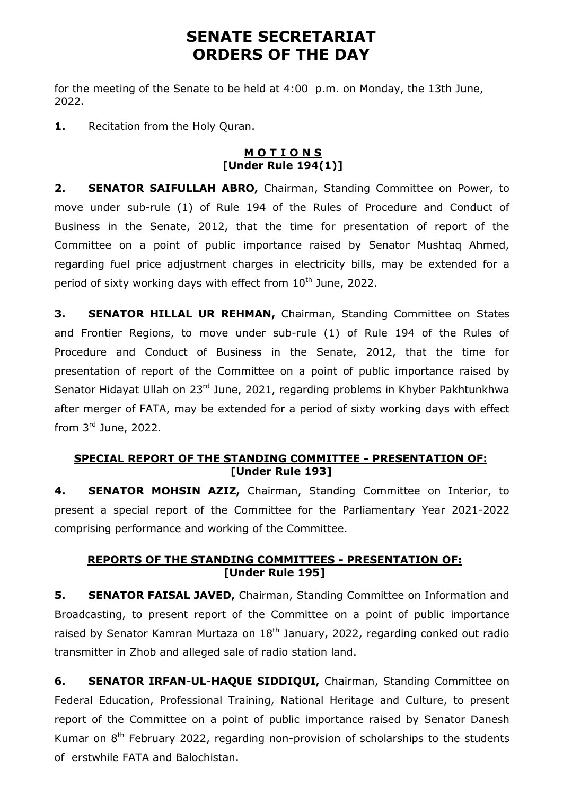# **SENATE SECRETARIAT ORDERS OF THE DAY**

for the meeting of the Senate to be held at 4:00 p.m. on Monday, the 13th June, 2022.

**1.** Recitation from the Holy Quran.

### **M O T I O N S [Under Rule 194(1)]**

**2. SENATOR SAIFULLAH ABRO,** Chairman, Standing Committee on Power, to move under sub-rule (1) of Rule 194 of the Rules of Procedure and Conduct of Business in the Senate, 2012, that the time for presentation of report of the Committee on a point of public importance raised by Senator Mushtaq Ahmed, regarding fuel price adjustment charges in electricity bills, may be extended for a period of sixty working days with effect from  $10<sup>th</sup>$  June, 2022.

**3. SENATOR HILLAL UR REHMAN, Chairman, Standing Committee on States** and Frontier Regions, to move under sub-rule (1) of Rule 194 of the Rules of Procedure and Conduct of Business in the Senate, 2012, that the time for presentation of report of the Committee on a point of public importance raised by Senator Hidayat Ullah on 23<sup>rd</sup> June, 2021, regarding problems in Khyber Pakhtunkhwa after merger of FATA, may be extended for a period of sixty working days with effect from 3 rd June, 2022.

## **SPECIAL REPORT OF THE STANDING COMMITTEE - PRESENTATION OF: [Under Rule 193]**

**4. SENATOR MOHSIN AZIZ,** Chairman, Standing Committee on Interior, to present a special report of the Committee for the Parliamentary Year 2021-2022 comprising performance and working of the Committee.

## **REPORTS OF THE STANDING COMMITTEES - PRESENTATION OF: [Under Rule 195]**

**5. SENATOR FAISAL JAVED,** Chairman, Standing Committee on Information and Broadcasting, to present report of the Committee on a point of public importance raised by Senator Kamran Murtaza on  $18<sup>th</sup>$  January, 2022, regarding conked out radio transmitter in Zhob and alleged sale of radio station land.

**6. SENATOR IRFAN-UL-HAQUE SIDDIQUI,** Chairman, Standing Committee on Federal Education, Professional Training, National Heritage and Culture, to present report of the Committee on a point of public importance raised by Senator Danesh Kumar on  $8<sup>th</sup>$  February 2022, regarding non-provision of scholarships to the students of erstwhile FATA and Balochistan.